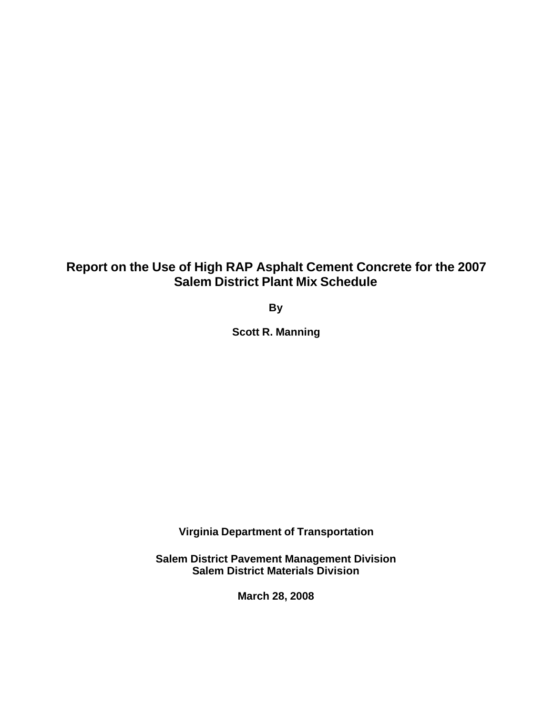# **Report on the Use of High RAP Asphalt Cement Concrete for the 2007 Salem District Plant Mix Schedule**

**By**

**Scott R. Manning**

**Virginia Department of Transportation**

**Salem District Pavement Management Division Salem District Materials Division**

**March 28, 2008**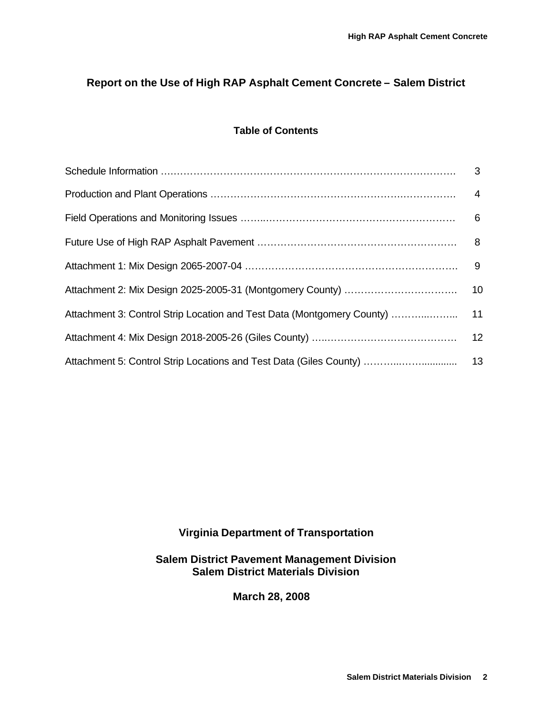# **Report on the Use of High RAP Asphalt Cement Concrete – Salem District**

## **Table of Contents**

# **Virginia Department of Transportation**

**Salem District Pavement Management Division Salem District Materials Division**

**March 28, 2008**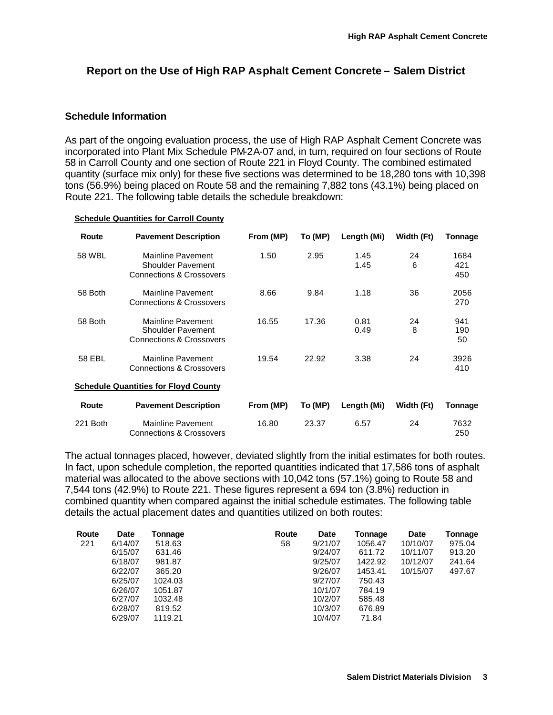# **Report on the Use of High RAP Asphalt Cement Concrete – Salem District**

### **Schedule Information**

As part of the ongoing evaluation process, the use of High RAP Asphalt Cement Concrete was incorporated into Plant Mix Schedule PM-2A-07 and, in turn, required on four sections of Route 58 in Carroll County and one section of Route 221 in Floyd County. The combined estimated quantity (surface mix only) for these five sections was determined to be 18,280 tons with 10,398 tons (56.9%) being placed on Route 58 and the remaining 7,882 tons (43.1%) being placed on Route 221. The following table details the schedule breakdown:

#### **Schedule Quantities for Carroll County**

| Route    | <b>Pavement Description</b>                                                          | From (MP) | To (MP) | Length (Mi)  | Width (Ft) | Tonnage            |
|----------|--------------------------------------------------------------------------------------|-----------|---------|--------------|------------|--------------------|
| 58 WBL   | Mainline Pavement<br>Shoulder Pavement<br><b>Connections &amp; Crossovers</b>        | 1.50      | 2.95    | 1.45<br>1.45 | 24<br>6    | 1684<br>421<br>450 |
| 58 Both  | Mainline Pavement<br><b>Connections &amp; Crossovers</b>                             | 8.66      | 9.84    | 1.18         | 36         | 2056<br>270        |
| 58 Both  | Mainline Pavement<br><b>Shoulder Pavement</b><br><b>Connections &amp; Crossovers</b> | 16.55     | 17.36   | 0.81<br>0.49 | 24<br>8    | 941<br>190<br>50   |
| 58 EBL   | Mainline Pavement<br><b>Connections &amp; Crossovers</b>                             | 19.54     | 22.92   | 3.38         | 24         | 3926<br>410        |
|          | <b>Schedule Quantities for Floyd County</b>                                          |           |         |              |            |                    |
| Route    | <b>Pavement Description</b>                                                          | From (MP) | To (MP) | Length (Mi)  | Width (Ft) | Tonnage            |
| 221 Both | Mainline Pavement<br><b>Connections &amp; Crossovers</b>                             | 16.80     | 23.37   | 6.57         | 24         | 7632<br>250        |

The actual tonnages placed, however, deviated slightly from the initial estimates for both routes. In fact, upon schedule completion, the reported quantities indicated that 17,586 tons of asphalt material was allocated to the above sections with 10,042 tons (57.1%) going to Route 58 and 7,544 tons (42.9%) to Route 221. These figures represent a 694 ton (3.8%) reduction in combined quantity when compared against the initial schedule estimates. The following table details the actual placement dates and quantities utilized on both routes:

| Route | <b>Date</b> | Tonnage | Route | <b>Date</b> | Tonnage | <b>Date</b> | <b>Tonnage</b> |
|-------|-------------|---------|-------|-------------|---------|-------------|----------------|
| 221   | 6/14/07     | 518.63  | 58    | 9/21/07     | 1056.47 | 10/10/07    | 975.04         |
|       | 6/15/07     | 631.46  |       | 9/24/07     | 611.72  | 10/11/07    | 913.20         |
|       | 6/18/07     | 981.87  |       | 9/25/07     | 1422.92 | 10/12/07    | 241.64         |
|       | 6/22/07     | 365.20  |       | 9/26/07     | 1453.41 | 10/15/07    | 497.67         |
|       | 6/25/07     | 1024.03 |       | 9/27/07     | 750.43  |             |                |
|       | 6/26/07     | 1051.87 |       | 10/1/07     | 784.19  |             |                |
|       | 6/27/07     | 1032.48 |       | 10/2/07     | 585.48  |             |                |
|       | 6/28/07     | 819.52  |       | 10/3/07     | 676.89  |             |                |
|       | 6/29/07     | 1119.21 |       | 10/4/07     | 71.84   |             |                |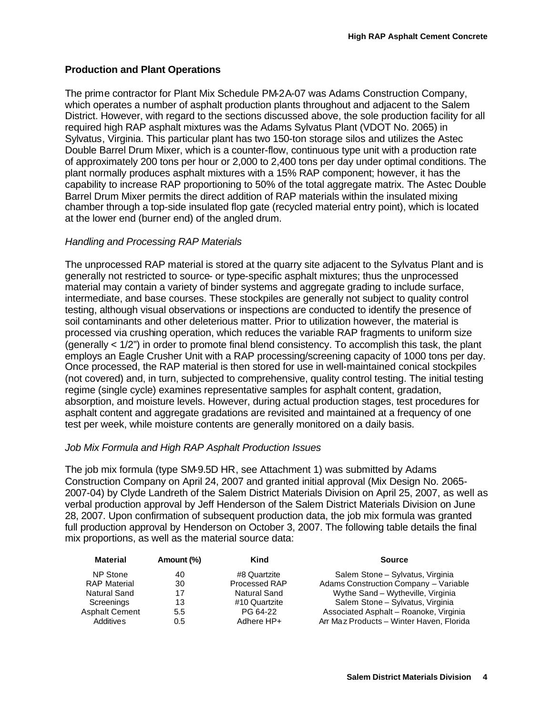# **Production and Plant Operations**

The prime contractor for Plant Mix Schedule PM-2A-07 was Adams Construction Company, which operates a number of asphalt production plants throughout and adjacent to the Salem District. However, with regard to the sections discussed above, the sole production facility for all required high RAP asphalt mixtures was the Adams Sylvatus Plant (VDOT No. 2065) in Sylvatus, Virginia. This particular plant has two 150-ton storage silos and utilizes the Astec Double Barrel Drum Mixer, which is a counter-flow, continuous type unit with a production rate of approximately 200 tons per hour or 2,000 to 2,400 tons per day under optimal conditions. The plant normally produces asphalt mixtures with a 15% RAP component; however, it has the capability to increase RAP proportioning to 50% of the total aggregate matrix. The Astec Double Barrel Drum Mixer permits the direct addition of RAP materials within the insulated mixing chamber through a top-side insulated flop gate (recycled material entry point), which is located at the lower end (burner end) of the angled drum.

### *Handling and Processing RAP Materials*

The unprocessed RAP material is stored at the quarry site adjacent to the Sylvatus Plant and is generally not restricted to source- or type-specific asphalt mixtures; thus the unprocessed material may contain a variety of binder systems and aggregate grading to include surface, intermediate, and base courses. These stockpiles are generally not subject to quality control testing, although visual observations or inspections are conducted to identify the presence of soil contaminants and other deleterious matter. Prior to utilization however, the material is processed via crushing operation, which reduces the variable RAP fragments to uniform size (generally < 1/2") in order to promote final blend consistency. To accomplish this task, the plant employs an Eagle Crusher Unit with a RAP processing/screening capacity of 1000 tons per day. Once processed, the RAP material is then stored for use in well-maintained conical stockpiles (not covered) and, in turn, subjected to comprehensive, quality control testing. The initial testing regime (single cycle) examines representative samples for asphalt content, gradation, absorption, and moisture levels. However, during actual production stages, test procedures for asphalt content and aggregate gradations are revisited and maintained at a frequency of one test per week, while moisture contents are generally monitored on a daily basis.

### *Job Mix Formula and High RAP Asphalt Production Issues*

The job mix formula (type SM-9.5D HR, see Attachment 1) was submitted by Adams Construction Company on April 24, 2007 and granted initial approval (Mix Design No. 2065- 2007-04) by Clyde Landreth of the Salem District Materials Division on April 25, 2007, as well as verbal production approval by Jeff Henderson of the Salem District Materials Division on June 28, 2007. Upon confirmation of subsequent production data, the job mix formula was granted full production approval by Henderson on October 3, 2007. The following table details the final mix proportions, as well as the material source data:

| <b>Material</b>       | Amount (%) | Kind          | <b>Source</b>                            |
|-----------------------|------------|---------------|------------------------------------------|
| NP Stone              | 40         | #8 Quartzite  | Salem Stone - Sylvatus, Virginia         |
| <b>RAP Material</b>   | 30         | Processed RAP | Adams Construction Company - Variable    |
| <b>Natural Sand</b>   | 17         | Natural Sand  | Wythe Sand - Wytheville, Virginia        |
| Screenings            | 13         | #10 Quartzite | Salem Stone - Sylvatus, Virginia         |
| <b>Asphalt Cement</b> | 5.5        | PG 64-22      | Associated Asphalt - Roanoke, Virginia   |
| Additives             | 0.5        | Adhere HP+    | Arr Maz Products - Winter Haven, Florida |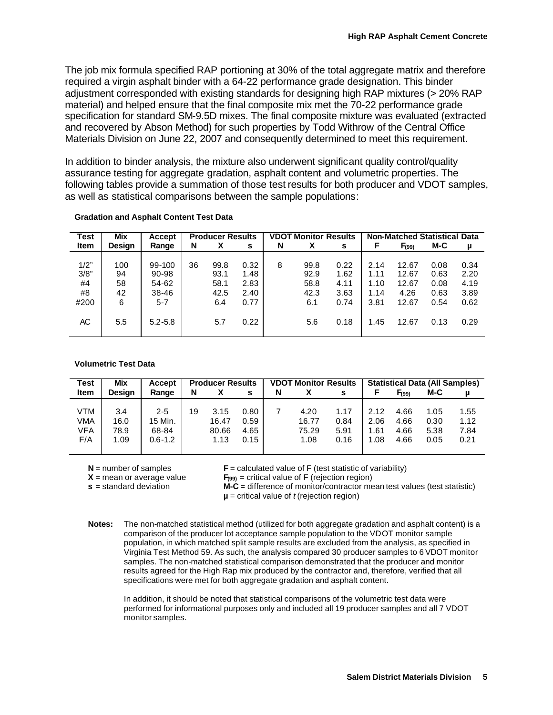The job mix formula specified RAP portioning at 30% of the total aggregate matrix and therefore required a virgin asphalt binder with a 64-22 performance grade designation. This binder adjustment corresponded with existing standards for designing high RAP mixtures (> 20% RAP material) and helped ensure that the final composite mix met the 70-22 performance grade specification for standard SM-9.5D mixes. The final composite mixture was evaluated (extracted and recovered by Abson Method) for such properties by Todd Withrow of the Central Office Materials Division on June 22, 2007 and consequently determined to meet this requirement.

In addition to binder analysis, the mixture also underwent significant quality control/quality assurance testing for aggregate gradation, asphalt content and volumetric properties. The following tables provide a summation of those test results for both producer and VDOT samples, as well as statistical comparisons between the sample populations:

| Test        | <b>Mix</b> | Accept      |    |      | <b>VDOT Monitor Results</b><br><b>Producer Results</b> |   |      | <b>Non-Matched Statistical Data</b> |      |       |      |      |
|-------------|------------|-------------|----|------|--------------------------------------------------------|---|------|-------------------------------------|------|-------|------|------|
| <b>Item</b> | Design     | Range       | N  | x    | s                                                      | N | x    | s                                   | F    | F(99) | M-C  | μ    |
|             |            |             |    |      |                                                        |   |      |                                     |      |       |      |      |
| 1/2"        | 100        | 99-100      | 36 | 99.8 | 0.32                                                   | 8 | 99.8 | 0.22                                | 2.14 | 12.67 | 0.08 | 0.34 |
| 3/8"        | 94         | 90-98       |    | 93.1 | 1.48                                                   |   | 92.9 | 1.62                                | 1.11 | 12.67 | 0.63 | 2.20 |
| #4          | 58         | 54-62       |    | 58.1 | 2.83                                                   |   | 58.8 | 4.11                                | 1.10 | 12.67 | 0.08 | 4.19 |
| #8          | 42         | 38-46       |    | 42.5 | 2.40                                                   |   | 42.3 | 3.63                                | 1.14 | 4.26  | 0.63 | 3.89 |
| #200        | 6          | $5 - 7$     |    | 6.4  | 0.77                                                   |   | 6.1  | 0.74                                | 3.81 | 12.67 | 0.54 | 0.62 |
|             |            |             |    |      |                                                        |   |      |                                     |      |       |      |      |
| АC          | 5.5        | $5.2 - 5.8$ |    | 5.7  | 0.22                                                   |   | 5.6  | 0.18                                | 1.45 | 12.67 | 0.13 | 0.29 |
|             |            |             |    |      |                                                        |   |      |                                     |      |       |      |      |

#### **Gradation and Asphalt Content Test Data**

#### **Volumetric Test Data**

| Test        | Mix           | <b>Accept</b> |    | <b>Producer Results</b> |      |   | <b>VDOT Monitor Results</b> |      |      | <b>Statistical Data (All Samples)</b> |      |      |  |
|-------------|---------------|---------------|----|-------------------------|------|---|-----------------------------|------|------|---------------------------------------|------|------|--|
| <b>Item</b> | <b>Desian</b> | Range         | N  |                         | s    | N |                             | s    |      | F <sub>(99)</sub>                     | M-C  | μ    |  |
|             |               |               |    |                         |      |   |                             |      |      |                                       |      |      |  |
| VTM         | 3.4           | $2 - 5$       | 19 | 3.15                    | 0.80 |   | 4.20                        | 1.17 | 2.12 | 4.66                                  | 1.05 | 1.55 |  |
| VMA         | 16.0          | 15 Min.       |    | 16.47                   | 0.59 |   | 16.77                       | 0.84 | 2.06 | 4.66                                  | 0.30 | 1.12 |  |
| VFA         | 78.9          | 68-84         |    | 80.66                   | 4.65 |   | 75.29                       | 5.91 | 1.61 | 4.66                                  | 5.38 | 7.84 |  |
| F/A         | 1.09          | $0.6 - 1.2$   |    | 1.13                    | 0.15 |   | 1.08                        | 0.16 | 1.08 | 4.66                                  | 0.05 | 0.21 |  |
|             |               |               |    |                         |      |   |                             |      |      |                                       |      |      |  |

**N** = number of samples

 **(test statistic of variability)** 

**X** = mean or average value **s** = standard deviation

 $F_{(99)}$  = critical value of F (rejection region)

**M-C** = difference of monitor/contractor mean test values (test statistic)

**µ** = critical value of *t* (rejection region)

**Notes:** The non-matched statistical method (utilized for both aggregate gradation and asphalt content) is a comparison of the producer lot acceptance sample population to the VDOT monitor sample population, in which matched split sample results are excluded from the analysis, as specified in Virginia Test Method 59. As such, the analysis compared 30 producer samples to 6 VDOT monitor samples. The non-matched statistical comparison demonstrated that the producer and monitor results agreed for the High Rap mix produced by the contractor and, therefore, verified that all specifications were met for both aggregate gradation and asphalt content.

In addition, it should be noted that statistical comparisons of the volumetric test data were performed for informational purposes only and included all 19 producer samples and all 7 VDOT monitor samples.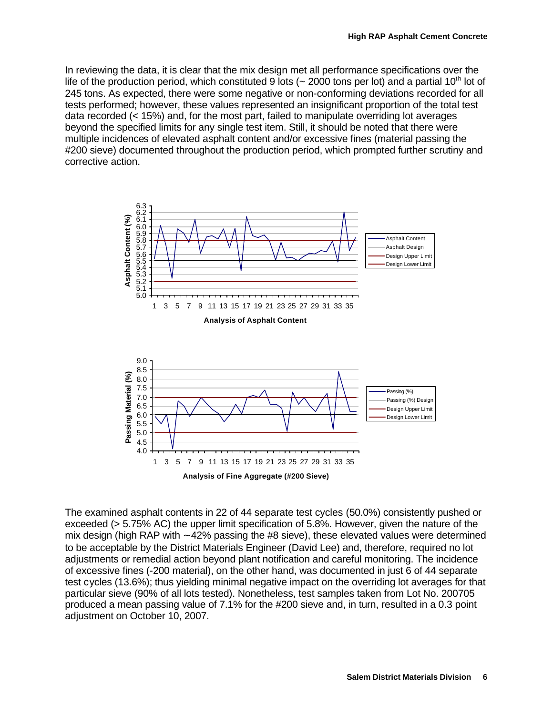In reviewing the data, it is clear that the mix design met all performance specifications over the life of the production period, which constituted 9 lots ( $\sim$  2000 tons per lot) and a partial 10<sup>th</sup> lot of 245 tons. As expected, there were some negative or non-conforming deviations recorded for all tests performed; however, these values represented an insignificant proportion of the total test data recorded (< 15%) and, for the most part, failed to manipulate overriding lot averages beyond the specified limits for any single test item. Still, it should be noted that there were multiple incidences of elevated asphalt content and/or excessive fines (material passing the #200 sieve) documented throughout the production period, which prompted further scrutiny and corrective action.



The examined asphalt contents in 22 of 44 separate test cycles (50.0%) consistently pushed or exceeded (> 5.75% AC) the upper limit specification of 5.8%. However, given the nature of the mix design (high RAP with ∼ 42% passing the #8 sieve), these elevated values were determined to be acceptable by the District Materials Engineer (David Lee) and, therefore, required no lot adjustments or remedial action beyond plant notification and careful monitoring. The incidence of excessive fines (-200 material), on the other hand, was documented in just 6 of 44 separate test cycles (13.6%); thus yielding minimal negative impact on the overriding lot averages for that particular sieve (90% of all lots tested). Nonetheless, test samples taken from Lot No. 200705 produced a mean passing value of 7.1% for the #200 sieve and, in turn, resulted in a 0.3 point adjustment on October 10, 2007.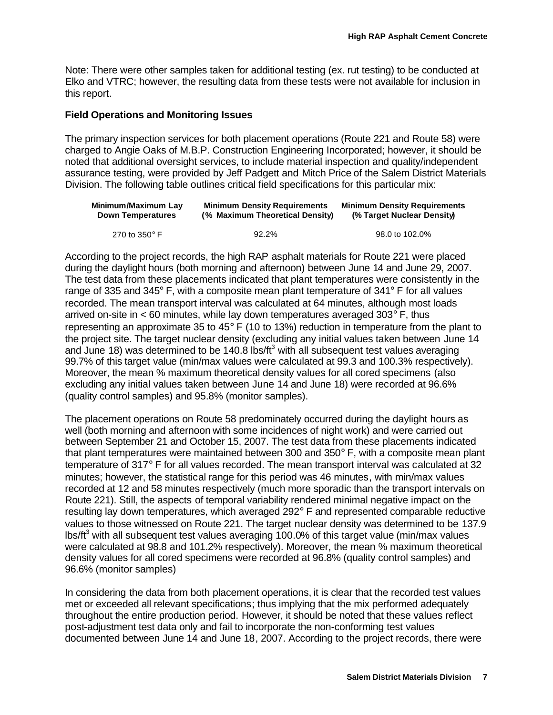Note: There were other samples taken for additional testing (ex. rut testing) to be conducted at Elko and VTRC; however, the resulting data from these tests were not available for inclusion in this report.

### **Field Operations and Monitoring Issues**

The primary inspection services for both placement operations (Route 221 and Route 58) were charged to Angie Oaks of M.B.P. Construction Engineering Incorporated; however, it should be noted that additional oversight services, to include material inspection and quality/independent assurance testing, were provided by Jeff Padgett and Mitch Price of the Salem District Materials Division. The following table outlines critical field specifications for this particular mix:

| Minimum/Maximum Lay      | <b>Minimum Density Requirements</b> | <b>Minimum Density Requirements</b> |
|--------------------------|-------------------------------------|-------------------------------------|
| <b>Down Temperatures</b> | (% Maximum Theoretical Density)     | (% Target Nuclear Density)          |
| 270 to 350 $^{\circ}$ F  | 92.2%                               | 98.0 to 102.0%                      |

According to the project records, the high RAP asphalt materials for Route 221 were placed during the daylight hours (both morning and afternoon) between June 14 and June 29, 2007. The test data from these placements indicated that plant temperatures were consistently in the range of 335 and 345° F, with a composite mean plant temperature of 341° F for all values recorded. The mean transport interval was calculated at 64 minutes, although most loads arrived on-site in  $<$  60 minutes, while lay down temperatures averaged 303 $\degree$  F, thus representing an approximate 35 to 45° F (10 to 13%) reduction in temperature from the plant to the project site. The target nuclear density (excluding any initial values taken between June 14 and June 18) was determined to be 140.8 lbs/ft<sup>3</sup> with all subsequent test values averaging 99.7% of this target value (min/max values were calculated at 99.3 and 100.3% respectively). Moreover, the mean % maximum theoretical density values for all cored specimens (also excluding any initial values taken between June 14 and June 18) were recorded at 96.6% (quality control samples) and 95.8% (monitor samples).

The placement operations on Route 58 predominately occurred during the daylight hours as well (both morning and afternoon with some incidences of night work) and were carried out between September 21 and October 15, 2007. The test data from these placements indicated that plant temperatures were maintained between 300 and 350° F, with a composite mean plant temperature of 317° F for all values recorded. The mean transport interval was calculated at 32 minutes; however, the statistical range for this period was 46 minutes, with min/max values recorded at 12 and 58 minutes respectively (much more sporadic than the transport intervals on Route 221). Still, the aspects of temporal variability rendered minimal negative impact on the resulting lay down temperatures, which averaged 292° F and represented comparable reductive values to those witnessed on Route 221. The target nuclear density was determined to be 137.9 lbs/ft<sup>3</sup> with all subsequent test values averaging 100.0% of this target value (min/max values were calculated at 98.8 and 101.2% respectively). Moreover, the mean % maximum theoretical density values for all cored specimens were recorded at 96.8% (quality control samples) and 96.6% (monitor samples)

In considering the data from both placement operations, it is clear that the recorded test values met or exceeded all relevant specifications; thus implying that the mix performed adequately throughout the entire production period. However, it should be noted that these values reflect post-adjustment test data only and fail to incorporate the non-conforming test values documented between June 14 and June 18, 2007. According to the project records, there were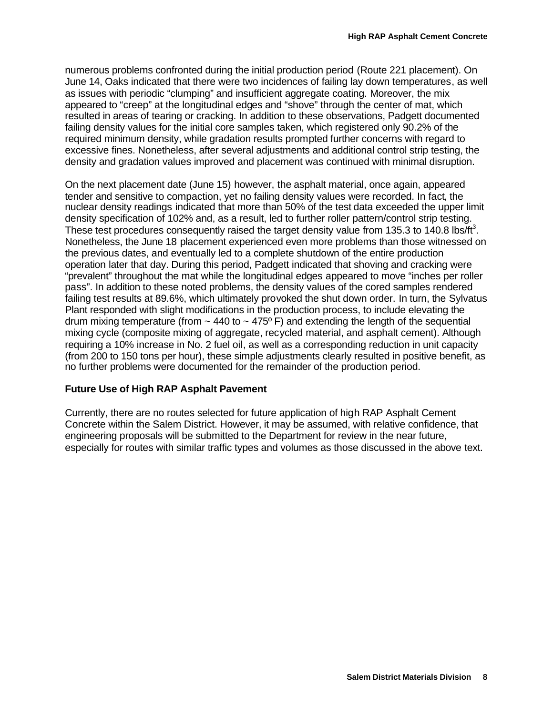numerous problems confronted during the initial production period (Route 221 placement). On June 14, Oaks indicated that there were two incidences of failing lay down temperatures, as well as issues with periodic "clumping" and insufficient aggregate coating. Moreover, the mix appeared to "creep" at the longitudinal edges and "shove" through the center of mat, which resulted in areas of tearing or cracking. In addition to these observations, Padgett documented failing density values for the initial core samples taken, which registered only 90.2% of the required minimum density, while gradation results prompted further concerns with regard to excessive fines. Nonetheless, after several adjustments and additional control strip testing, the density and gradation values improved and placement was continued with minimal disruption.

On the next placement date (June 15) however, the asphalt material, once again, appeared tender and sensitive to compaction, yet no failing density values were recorded. In fact, the nuclear density readings indicated that more than 50% of the test data exceeded the upper limit density specification of 102% and, as a result, led to further roller pattern/control strip testing. These test procedures consequently raised the target density value from 135.3 to 140.8 lbs/ft<sup>3</sup>. Nonetheless, the June 18 placement experienced even more problems than those witnessed on the previous dates, and eventually led to a complete shutdown of the entire production operation later that day. During this period, Padgett indicated that shoving and cracking were "prevalent" throughout the mat while the longitudinal edges appeared to move "inches per roller pass". In addition to these noted problems, the density values of the cored samples rendered failing test results at 89.6%, which ultimately provoked the shut down order. In turn, the Sylvatus Plant responded with slight modifications in the production process, to include elevating the drum mixing temperature (from  $\sim$  440 to  $\sim$  475° F) and extending the length of the sequential mixing cycle (composite mixing of aggregate, recycled material, and asphalt cement). Although requiring a 10% increase in No. 2 fuel oil, as well as a corresponding reduction in unit capacity (from 200 to 150 tons per hour), these simple adjustments clearly resulted in positive benefit, as no further problems were documented for the remainder of the production period.

### **Future Use of High RAP Asphalt Pavement**

Currently, there are no routes selected for future application of high RAP Asphalt Cement Concrete within the Salem District. However, it may be assumed, with relative confidence, that engineering proposals will be submitted to the Department for review in the near future, especially for routes with similar traffic types and volumes as those discussed in the above text.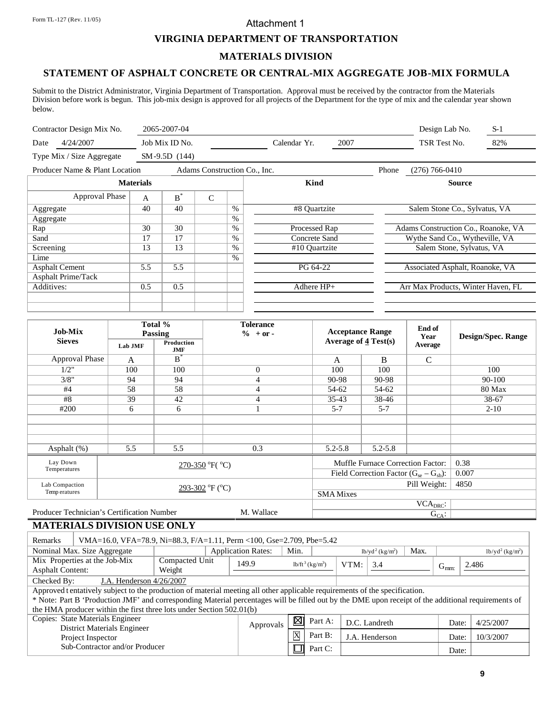#### Attachment 1

### **VIRGINIA DEPARTMENT OF TRANSPORTATION**

#### **MATERIALS DIVISION**

# **STATEMENT OF ASPHALT CONCRETE OR CENTRAL-MIX AGGREGATE JOB-MIX FORMULA**

Submit to the District Administrator, Virginia Department of Transportation. Approval must be received by the contractor from the Materials Division before work is begun. This job-mix design is approved for all projects of the Department for the type of mix and the calendar year shown below.

| Contractor Design Mix No.      |                  | 2065-2007-04   |                              |      |                      | Design Lab No.<br>$S-1$             |
|--------------------------------|------------------|----------------|------------------------------|------|----------------------|-------------------------------------|
| 4/24/2007<br>Date              |                  | Job Mix ID No. |                              |      | 2007<br>Calendar Yr. | 82%<br>TSR Test No.                 |
| Type Mix / Size Aggregate      |                  | SM-9.5D (144)  |                              |      |                      |                                     |
| Producer Name & Plant Location |                  |                | Adams Construction Co., Inc. |      |                      | Phone<br>$(276) 766 - 0410$         |
|                                | <b>Materials</b> |                |                              |      | Kind                 | <b>Source</b>                       |
| Approval Phase                 | A                | $B^*$          | $\overline{C}$               |      |                      |                                     |
| Aggregate                      | 40               | 40             |                              | $\%$ | #8 Quartzite         | Salem Stone Co., Sylvatus, VA       |
| Aggregate                      |                  |                |                              | $\%$ |                      |                                     |
| Rap                            | 30               | 30             |                              | $\%$ | Processed Rap        | Adams Construction Co., Roanoke, VA |
| Sand                           | 17               | 17             |                              | $\%$ | Concrete Sand        | Wythe Sand Co., Wytheville, VA      |
| Screening                      | 13               | 13             |                              | $\%$ | #10 Ouartzite        | Salem Stone, Sylvatus, VA           |
| Lime                           |                  |                |                              | $\%$ |                      |                                     |
| <b>Asphalt Cement</b>          | 5.5              | 5.5            |                              |      | PG 64-22             | Associated Asphalt, Roanoke, VA     |
| <b>Asphalt Prime/Tack</b>      |                  |                |                              |      |                      |                                     |
| Additives:                     | 0.5              | 0.5            |                              |      | Adhere $HP+$         | Arr Max Products, Winter Haven, FL  |
|                                |                  |                |                              |      |                      |                                     |
|                                |                  |                |                              |      |                      |                                     |

| <b>Job-Mix</b>                             |         | Total %<br>Passing       | <b>Tolerance</b><br>$\% + or -$ |                                  | <b>Acceptance Range</b>                       | End of<br>Year                         | <b>Design/Spec. Range</b> |
|--------------------------------------------|---------|--------------------------|---------------------------------|----------------------------------|-----------------------------------------------|----------------------------------------|---------------------------|
| <b>Sieves</b>                              | Lab JMF | Production<br><b>JMF</b> |                                 | Average of $\frac{4}{3}$ Test(s) |                                               | <b>Average</b>                         |                           |
| Approval Phase                             | A       | $B^*$                    |                                 | A                                | B                                             | $\mathsf{C}$                           |                           |
| 1/2"                                       | 100     | 100                      | $\overline{0}$                  | 100                              | 100                                           |                                        | 100                       |
| 3/8"                                       | 94      | 94                       | 4                               | 90-98                            | 90-98                                         |                                        | 90-100                    |
| #4                                         | 58      | 58                       | 4                               | 54-62                            | 54-62                                         |                                        | 80 Max                    |
| #8                                         | 39      | 42                       | 4                               | $35-43$                          | 38-46                                         |                                        | 38-67                     |
| #200                                       | 6       | 6                        | л.                              | $5 - 7$                          | $5 - 7$                                       |                                        | $2 - 10$                  |
|                                            |         |                          |                                 |                                  |                                               |                                        |                           |
|                                            |         |                          |                                 |                                  |                                               |                                        |                           |
|                                            |         |                          |                                 |                                  |                                               |                                        |                           |
| Asphalt $(\%)$                             | 5.5     | 5.5                      | 0.3                             | $5.2 - 5.8$                      | $5.2 - 5.8$                                   |                                        |                           |
| Lay Down                                   |         |                          | $270-350$ °F( $^{\circ}$ C)     |                                  | Muffle Furnace Correction Factor:             |                                        | 0.38                      |
| Temperatures                               |         |                          |                                 |                                  | Field Correction Factor $(G_{se} - G_{sh})$ : |                                        | 0.007                     |
| Lab Compaction                             |         |                          | 293-302 °F (°C)                 | Pill Weight:                     |                                               |                                        | 4850                      |
| Temp eratures                              |         |                          |                                 | <b>SMA</b> Mixes                 |                                               |                                        |                           |
|                                            |         |                          |                                 |                                  |                                               | $\overline{\text{VCA}}_{\text{DRC}}$ : |                           |
| Producer Technician's Certification Number |         |                          | M. Wallace                      |                                  |                                               | $G_{CA}$ :                             |                           |

# **MATERIALS DIVISION USE ONLY**

| Remarks                 | VMA=16.0, VFA=78.9, Ni=88.3, F/A=1.11, Perm <100, Gse=2.709, Pbe=5.42                                                                               |        |                |                                |         |                |               |       |           |           |  |  |  |
|-------------------------|-----------------------------------------------------------------------------------------------------------------------------------------------------|--------|----------------|--------------------------------|---------|----------------|---------------|-------|-----------|-----------|--|--|--|
|                         | <b>Application Rates:</b><br>Min.<br>Nominal Max. Size Aggregate<br>Max.<br>$lb/yd^2$ (kg/m <sup>2</sup> )<br>$1b/yd^2$ (kg/m <sup>2</sup> )        |        |                |                                |         |                |               |       |           |           |  |  |  |
|                         | Mix Properties at the Job-Mix                                                                                                                       | 149.9  |                | $1b/ft^3$ (kg/m <sup>3</sup> ) | VTM:    | 3.4            |               |       | 2.486     |           |  |  |  |
| <b>Asphalt Content:</b> |                                                                                                                                                     | Weight |                |                                |         |                |               |       | $G_{mm}$  |           |  |  |  |
| Checked By:             | J.A. Henderson 4/26/2007                                                                                                                            |        |                |                                |         |                |               |       |           |           |  |  |  |
|                         | Approved tentatively subject to the production of material meeting all other applicable requirements of the specification.                          |        |                |                                |         |                |               |       |           |           |  |  |  |
|                         | * Note: Part B 'Production JMF' and corresponding Material percentages will be filled out by the DME upon receipt of the additional requirements of |        |                |                                |         |                |               |       |           |           |  |  |  |
|                         | the HMA producer within the first three lots under Section 502.01(b)                                                                                |        |                |                                |         |                |               |       |           |           |  |  |  |
|                         | Copies: State Materials Engineer                                                                                                                    |        |                | 図                              | Part A: |                | D.C. Landreth |       | Date:     | 4/25/2007 |  |  |  |
|                         | District Materials Engineer                                                                                                                         |        | Approvals      |                                |         |                |               |       |           |           |  |  |  |
|                         | Project Inspector                                                                                                                                   |        | $\overline{X}$ | Part B:                        |         | J.A. Henderson |               | Date: | 10/3/2007 |           |  |  |  |
|                         | Sub-Contractor and/or Producer                                                                                                                      |        |                |                                | Part C: |                |               |       | Date:     |           |  |  |  |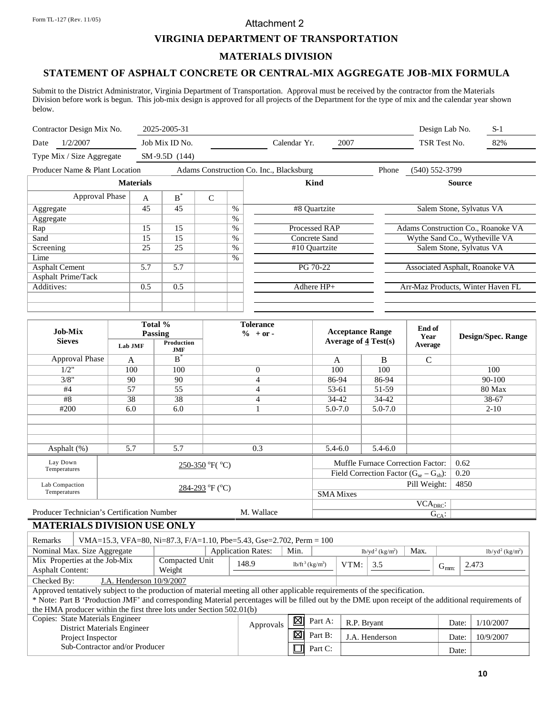### Attachment 2

### **VIRGINIA DEPARTMENT OF TRANSPORTATION**

#### **MATERIALS DIVISION**

# **STATEMENT OF ASPHALT CONCRETE OR CENTRAL-MIX AGGREGATE JOB-MIX FORMULA**

Submit to the District Administrator, Virginia Department of Transportation. Approval must be received by the contractor from the Materials Division before work is begun. This job-mix design is approved for all projects of the Department for the type of mix and the calendar year shown below.

| Contractor Design Mix No.      |                  | 2025-2005-31   |              |      |                                         |       | Design Lab No.                     | $S-1$ |
|--------------------------------|------------------|----------------|--------------|------|-----------------------------------------|-------|------------------------------------|-------|
| 1/2/2007<br>Date               |                  | Job Mix ID No. |              |      | 2007<br>Calendar Yr.                    |       | TSR Test No.                       | 82%   |
| Type Mix / Size Aggregate      |                  | SM-9.5D (144)  |              |      |                                         |       |                                    |       |
| Producer Name & Plant Location |                  |                |              |      | Adams Construction Co. Inc., Blacksburg | Phone | $(540) 552 - 3799$                 |       |
|                                | <b>Materials</b> |                |              |      | Kind                                    |       | <b>Source</b>                      |       |
| Approval Phase                 | $\mathbf{A}$     | $\textbf{B}^*$ | $\mathsf{C}$ |      |                                         |       |                                    |       |
| Aggregate                      | 45               | 45             |              | $\%$ | #8 Ouartzite                            |       | Salem Stone, Sylvatus VA           |       |
| Aggregate                      |                  |                |              | $\%$ |                                         |       |                                    |       |
| Rap                            | 15               | 15             |              | $\%$ | Processed RAP                           |       | Adams Construction Co., Roanoke VA |       |
| Sand                           | 15               | 15             |              | $\%$ | Concrete Sand                           |       | Wythe Sand Co., Wytheville VA      |       |
| Screening                      | 25               | 25             |              | $\%$ | #10 Ouartzite                           |       | Salem Stone, Sylvatus VA           |       |
| Lime                           |                  |                |              | %    |                                         |       |                                    |       |
| <b>Asphalt Cement</b>          | 5.7              | 5.7            |              |      | PG 70-22                                |       | Associated Asphalt, Roanoke VA     |       |
| Asphalt Prime/Tack             |                  |                |              |      |                                         |       |                                    |       |
| Additives:                     | 0.5              | 0.5            |              |      | Adhere $HP+$                            |       | Arr-Maz Products, Winter Haven FL  |       |
|                                |                  |                |              |      |                                         |       |                                    |       |
|                                |                  |                |              |      |                                         |       |                                    |       |

| <b>Job-Mix</b>                             |         | Total %<br>Passing       | <b>Tolerance</b><br>$\%$ + or - |                  | <b>Acceptance Range</b>                       | End of<br>Year       | <b>Design/Spec. Range</b> |
|--------------------------------------------|---------|--------------------------|---------------------------------|------------------|-----------------------------------------------|----------------------|---------------------------|
| <b>Sieves</b>                              | Lab JMF | Production<br><b>JMF</b> |                                 |                  | Average of $\frac{4}{3}$ Test(s)              | Average              |                           |
| Approval Phase                             | A       | $B^{\dagger}$            |                                 | A                | B                                             | $\mathsf{C}$         |                           |
| 1/2"                                       | 100     | 100                      | $\mathbf{0}$                    | 100              | 100                                           |                      | 100                       |
| 3/8"                                       | 90      | 90                       | 4                               | 86-94            | 86-94                                         |                      | 90-100                    |
| #4                                         | 57      | 55                       | 4                               | 53-61            | 51-59                                         |                      | 80 Max                    |
| #8                                         | 38      | 38                       | 4                               | 34-42            | 34-42                                         |                      | 38-67                     |
| #200                                       | 6.0     | 6.0                      |                                 | $5.0 - 7.0$      | $5.0 - 7.0$                                   |                      | $2 - 10$                  |
|                                            |         |                          |                                 |                  |                                               |                      |                           |
|                                            |         |                          |                                 |                  |                                               |                      |                           |
|                                            |         |                          |                                 |                  |                                               |                      |                           |
| Asphalt (%)                                | 5.7     | 5.7                      | 0.3                             | $5.4 - 6.0$      | $5.4 - 6.0$                                   |                      |                           |
| Lay Down                                   |         |                          | $250-350$ °F( $^{\circ}$ C)     |                  | Muffle Furnace Correction Factor:             |                      | 0.62                      |
| Temperatures                               |         |                          |                                 |                  | Field Correction Factor $(G_{se} - G_{sb})$ : |                      | 0.20                      |
| Lab Compaction                             |         |                          | $284-293$ °F (°C)               |                  |                                               | 4850                 |                           |
| Temperatures                               |         |                          |                                 | <b>SMA</b> Mixes |                                               |                      |                           |
|                                            |         |                          |                                 |                  |                                               | VCA <sub>DRC</sub> : |                           |
| Producer Technician's Certification Number |         |                          | M. Wallace                      |                  |                                               | $G_{CA}$ :           |                           |

# **MATERIALS DIVISION USE ONLY**

| Remarks                                                                                                                    | VMA=15.3, VFA=80, Ni=87.3, F/A=1.10, Pbe=5.43, Gse=2.702, Perm = 100                                                                                |                |                           |      |                                |             |                                |      |           |       |                                |
|----------------------------------------------------------------------------------------------------------------------------|-----------------------------------------------------------------------------------------------------------------------------------------------------|----------------|---------------------------|------|--------------------------------|-------------|--------------------------------|------|-----------|-------|--------------------------------|
|                                                                                                                            | Nominal Max. Size Aggregate                                                                                                                         |                | <b>Application Rates:</b> | Min. |                                |             | $lb/yd^2$ (kg/m <sup>2</sup> ) | Max. |           |       | $1b/yd^2$ (kg/m <sup>2</sup> ) |
|                                                                                                                            | Mix Properties at the Job-Mix                                                                                                                       | Compacted Unit | 148.9                     |      | $1b/ft^3$ (kg/m <sup>3</sup> ) | VTM:        | 3.5                            |      |           | 2.473 |                                |
| Weight<br><b>Asphalt Content:</b>                                                                                          |                                                                                                                                                     |                |                           |      |                                |             |                                |      | $G_{mm}$  |       |                                |
| Checked By:                                                                                                                | J.A. Henderson 10/9/2007                                                                                                                            |                |                           |      |                                |             |                                |      |           |       |                                |
| Approved tentatively subject to the production of material meeting all other applicable requirements of the specification. |                                                                                                                                                     |                |                           |      |                                |             |                                |      |           |       |                                |
|                                                                                                                            | * Note: Part B 'Production JMF' and corresponding Material percentages will be filled out by the DME upon receipt of the additional requirements of |                |                           |      |                                |             |                                |      |           |       |                                |
|                                                                                                                            | the HMA producer within the first three lots under Section 502.01(b)                                                                                |                |                           |      |                                |             |                                |      |           |       |                                |
|                                                                                                                            | Copies: State Materials Engineer                                                                                                                    |                |                           | 図    | Part A:                        | R.P. Bryant |                                |      | Date:     |       | 1/10/2007                      |
|                                                                                                                            | <b>District Materials Engineer</b>                                                                                                                  | Approvals      |                           |      |                                |             |                                |      |           |       |                                |
| Project Inspector                                                                                                          |                                                                                                                                                     | 図              | Part B:                   |      | J.A. Henderson                 |             | Date:                          |      | 10/9/2007 |       |                                |
| Sub-Contractor and/or Producer                                                                                             |                                                                                                                                                     |                | Part C:                   |      |                                |             | Date:                          |      |           |       |                                |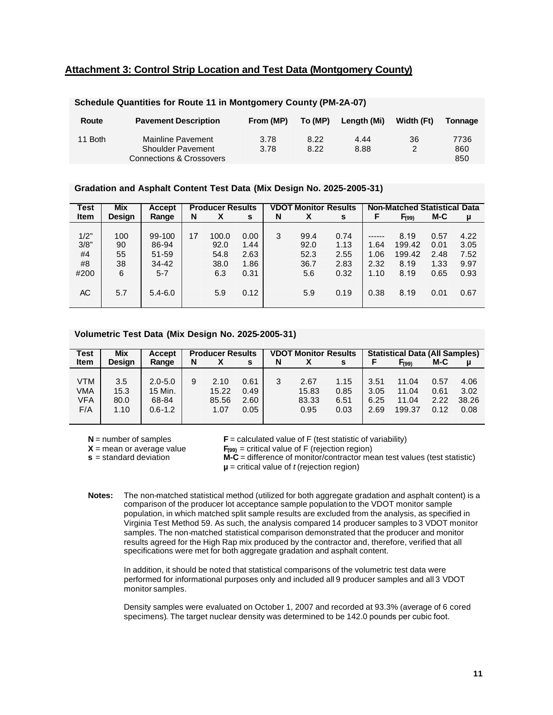### **Attachment 3: Control Strip Location and Test Data (Montgomery County)**

| Route   | <b>Pavement Description</b>                                               | From (MP)    | To (MP)      | Length (Mi)  | Width (Ft) | Tonnage            |
|---------|---------------------------------------------------------------------------|--------------|--------------|--------------|------------|--------------------|
| 11 Both | Mainline Pavement<br><b>Shoulder Pavement</b><br>Connections & Crossovers | 3.78<br>3.78 | 8.22<br>8.22 | 4.44<br>8.88 | 36<br>2    | 7736<br>860<br>850 |

#### **Schedule Quantities for Route 11 in Montgomery County (PM-2A-07)**

#### **Gradation and Asphalt Content Test Data (Mix Design No. 2025-2005-31)**

| <b>Test</b>                            | <b>Mix</b>                        | Accept                                                          |    | <b>Producer Results</b>                     |                                              |   | <b>VDOT Monitor Results</b>                |                                              | <b>Non-Matched Statistical Data</b>  |                                                  |                                              |                                              |  |
|----------------------------------------|-----------------------------------|-----------------------------------------------------------------|----|---------------------------------------------|----------------------------------------------|---|--------------------------------------------|----------------------------------------------|--------------------------------------|--------------------------------------------------|----------------------------------------------|----------------------------------------------|--|
| <b>Item</b>                            | <b>Design</b>                     | Range                                                           | N  | Χ                                           | s                                            | N | Х                                          | s                                            | F                                    | F <sub>(99)</sub>                                | M-C                                          | μ                                            |  |
| 1/2"<br>3/8"<br>#4<br>#8<br>#200<br>АC | 100<br>90<br>55<br>38<br>6<br>5.7 | 99-100<br>86-94<br>51-59<br>$34 - 42$<br>$5 - 7$<br>$5.4 - 6.0$ | 17 | 100.0<br>92.0<br>54.8<br>38.0<br>6.3<br>5.9 | 0.00<br>1.44<br>2.63<br>1.86<br>0.31<br>0.12 | 3 | 99.4<br>92.0<br>52.3<br>36.7<br>5.6<br>5.9 | 0.74<br>1.13<br>2.55<br>2.83<br>0.32<br>0.19 | 1.64<br>1.06<br>2.32<br>1.10<br>0.38 | 8.19<br>199.42<br>199.42<br>8.19<br>8.19<br>8.19 | 0.57<br>0.01<br>2.48<br>1.33<br>0.65<br>0.01 | 4.22<br>3.05<br>7.52<br>9.97<br>0.93<br>0.67 |  |

#### **Volumetric Test Data (Mix Design No. 2025-2005-31)**

| <b>Test</b> | <b>Mix</b>    | <b>Accept</b> |   | <b>Producer Results</b> |      |   | <b>VDOT Monitor Results</b> |      | <b>Statistical Data (All Samples)</b> |                   |      |          |
|-------------|---------------|---------------|---|-------------------------|------|---|-----------------------------|------|---------------------------------------|-------------------|------|----------|
| <b>Item</b> | <b>Desian</b> | Range         | N |                         | s    | N |                             | s    |                                       | F <sub>(99)</sub> | M-C  | <b>u</b> |
|             |               |               |   |                         |      |   |                             |      |                                       |                   |      |          |
| VTM         | 3.5           | $2.0 - 5.0$   | 9 | 2.10                    | 0.61 | 3 | 2.67                        | 1.15 | 3.51                                  | 11.04             | 0.57 | 4.06     |
| VMA         | 15.3          | 15 Min.       |   | 15.22                   | 0.49 |   | 15.83                       | 0.85 | 3.05                                  | 11.04             | 0.61 | 3.02     |
| VFA         | 80.0          | 68-84         |   | 85.56                   | 2.60 |   | 83.33                       | 6.51 | 6.25                                  | 11.04             | 2.22 | 38.26    |
| F/A         | 1.10          | $0.6 - 1.2$   |   | 1.07                    | 0.05 |   | 0.95                        | 0.03 | 2.69                                  | 199.37            | 0.12 | 0.08     |
|             |               |               |   |                         |      |   |                             |      |                                       |                   |      |          |

**N** = number of samples  $X$  = mean or average value **s** = standard deviation

 $$ 

 $F_{(99)}$  = critical value of F (rejection region)

**M-C** = difference of monitor/contractor mean test values (test statistic)  $\mu$  = critical value of *t* (rejection region)

**Notes:** The non-matched statistical method (utilized for both aggregate gradation and asphalt content) is a comparison of the producer lot acceptance sample population to the VDOT monitor sample population, in which matched split sample results are excluded from the analysis, as specified in Virginia Test Method 59. As such, the analysis compared 14 producer samples to 3 VDOT monitor samples. The non-matched statistical comparison demonstrated that the producer and monitor results agreed for the High Rap mix produced by the contractor and, therefore, verified that all specifications were met for both aggregate gradation and asphalt content.

In addition, it should be noted that statistical comparisons of the volumetric test data were performed for informational purposes only and included all 9 producer samples and all 3 VDOT monitor samples.

Density samples were evaluated on October 1, 2007 and recorded at 93.3% (average of 6 cored specimens). The target nuclear density was determined to be 142.0 pounds per cubic foot.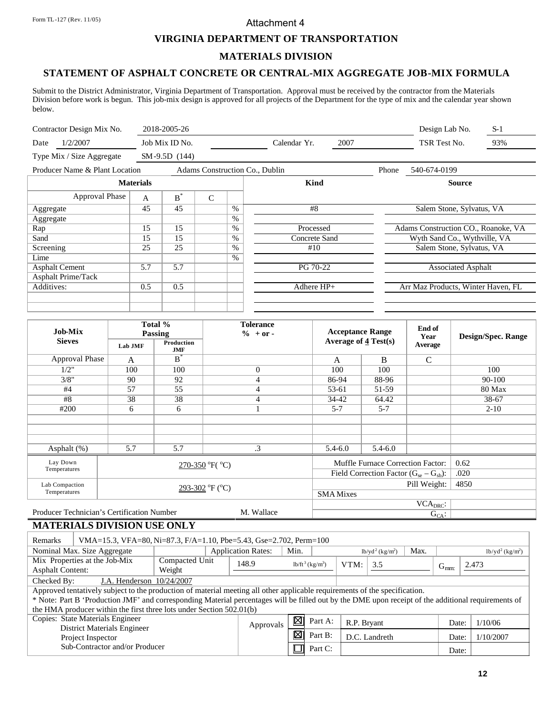### Attachment 4

### **VIRGINIA DEPARTMENT OF TRANSPORTATION**

#### **MATERIALS DIVISION**

# **STATEMENT OF ASPHALT CONCRETE OR CENTRAL-MIX AGGREGATE JOB-MIX FORMULA**

Submit to the District Administrator, Virginia Department of Transportation. Approval must be received by the contractor from the Materials Division before work is begun. This job-mix design is approved for all projects of the Department for the type of mix and the calendar year shown below.

|                                                                  |       |                                                 |      |              |      |                                                      | Design Lab No.               | $S-1$                                                                                                                                                |  |  |
|------------------------------------------------------------------|-------|-------------------------------------------------|------|--------------|------|------------------------------------------------------|------------------------------|------------------------------------------------------------------------------------------------------------------------------------------------------|--|--|
|                                                                  |       |                                                 |      | Calendar Yr. | 2007 |                                                      | TSR Test No.                 | 93%                                                                                                                                                  |  |  |
|                                                                  |       |                                                 |      |              |      |                                                      |                              |                                                                                                                                                      |  |  |
| Producer Name & Plant Location<br>Adams Construction Co., Dublin |       |                                                 |      |              |      | Phone                                                | 540-674-0199                 |                                                                                                                                                      |  |  |
| <b>Materials</b>                                                 |       |                                                 |      | Kind         |      |                                                      |                              |                                                                                                                                                      |  |  |
| $\overline{A}$                                                   | $B^*$ | $\overline{C}$                                  |      |              |      |                                                      |                              |                                                                                                                                                      |  |  |
| 45                                                               | 45    |                                                 | $\%$ | #8           |      | Salem Stone, Sylvatus, VA                            |                              |                                                                                                                                                      |  |  |
|                                                                  |       |                                                 | $\%$ |              |      |                                                      |                              |                                                                                                                                                      |  |  |
| 15                                                               | 15    |                                                 | $\%$ |              |      |                                                      |                              |                                                                                                                                                      |  |  |
| 15                                                               | 15    |                                                 | $\%$ |              |      |                                                      | Wyth Sand Co., Wythville, VA |                                                                                                                                                      |  |  |
| 25                                                               | 25    |                                                 | $\%$ | #10          |      |                                                      |                              |                                                                                                                                                      |  |  |
|                                                                  |       |                                                 | %    |              |      |                                                      |                              |                                                                                                                                                      |  |  |
| 5.7                                                              | 5.7   |                                                 |      |              |      |                                                      |                              |                                                                                                                                                      |  |  |
|                                                                  |       |                                                 |      |              |      |                                                      |                              |                                                                                                                                                      |  |  |
| 0.5                                                              | 0.5   |                                                 |      |              |      |                                                      |                              |                                                                                                                                                      |  |  |
|                                                                  |       |                                                 |      |              |      |                                                      |                              |                                                                                                                                                      |  |  |
|                                                                  |       |                                                 |      |              |      |                                                      |                              |                                                                                                                                                      |  |  |
|                                                                  |       | 2018-2005-26<br>Job Mix ID No.<br>SM-9.5D (144) |      |              |      | Processed<br>Concrete Sand<br>PG 70-22<br>Adhere HP+ |                              | <b>Source</b><br>Adams Construction CO., Roanoke, VA<br>Salem Stone, Sylvatus, VA<br><b>Associated Asphalt</b><br>Arr Maz Products, Winter Haven, FL |  |  |

| <b>Job-Mix</b>                             |                   | Total %<br><b>Passing</b> | <b>Tolerance</b><br>$\% + or -$ |             | <b>Acceptance Range</b>                       | End of<br>Year                         | <b>Design/Spec. Range</b> |
|--------------------------------------------|-------------------|---------------------------|---------------------------------|-------------|-----------------------------------------------|----------------------------------------|---------------------------|
| <b>Sieves</b>                              | Lab JMF           | Production<br><b>JMF</b>  |                                 |             | Average of $4$ Test(s)                        | Average                                |                           |
| Approval Phase                             | A                 | $B^{\dagger}$             |                                 | A           | B                                             | C                                      |                           |
| 1/2"                                       | 100               | 100                       | $\overline{0}$                  | 100         | 100                                           |                                        | 100                       |
| 3/8"                                       | 90                | 92                        | 4                               | 86-94       | 88-96                                         |                                        | $90 - 100$                |
| #4                                         | 57                | 55                        | 4                               | 53-61       | 51-59                                         |                                        | 80 Max                    |
| #8                                         | 38                | 38                        | 4                               | 34-42       | 64.42                                         |                                        | 38-67                     |
| #200                                       | 6                 | 6                         |                                 | $5 - 7$     | $5 - 7$                                       |                                        | $2 - 10$                  |
|                                            |                   |                           |                                 |             |                                               |                                        |                           |
|                                            |                   |                           |                                 |             |                                               |                                        |                           |
|                                            |                   |                           |                                 |             |                                               |                                        |                           |
| Asphalt (%)                                | 5.7               | 5.7                       | .3                              | $5.4 - 6.0$ | $5.4 - 6.0$                                   |                                        |                           |
| Lay Down                                   |                   |                           | $270-350$ °F( $^{\circ}$ C)     |             | Muffle Furnace Correction Factor:             |                                        | 0.62                      |
| Temperatures                               |                   |                           |                                 |             | Field Correction Factor $(G_{se} - G_{sb})$ : |                                        | .020                      |
| Lab Compaction                             | $293-302$ °F (°C) |                           |                                 |             |                                               | Pill Weight:                           | 4850                      |
| Temperatures                               |                   |                           | <b>SMA</b> Mixes                |             |                                               |                                        |                           |
|                                            |                   |                           |                                 |             |                                               | $\overline{\text{VCA}}_{\text{DRC}}$ : |                           |
| Producer Technician's Certification Number |                   |                           | M. Wallace                      |             |                                               | $G_{CA}$ :                             |                           |

# **MATERIALS DIVISION USE ONLY**

| Remarks                                                                                                                    |                                                                                                                                                     | VMA=15.3, VFA=80, Ni=87.3, F/A=1.10, Pbe=5.43, Gse=2.702, Perm=100 |                           |      |                                |             |                                |           |          |                                |
|----------------------------------------------------------------------------------------------------------------------------|-----------------------------------------------------------------------------------------------------------------------------------------------------|--------------------------------------------------------------------|---------------------------|------|--------------------------------|-------------|--------------------------------|-----------|----------|--------------------------------|
|                                                                                                                            | Nominal Max. Size Aggregate                                                                                                                         |                                                                    | <b>Application Rates:</b> | Min. |                                |             | $lb/yd^2$ (kg/m <sup>2</sup> ) | Max.      |          | $1b/yd^2$ (kg/m <sup>2</sup> ) |
|                                                                                                                            | Mix Properties at the Job-Mix<br>Compacted Unit                                                                                                     |                                                                    |                           |      | $1b/ft^3$ (kg/m <sup>3</sup> ) | VTM:<br>3.5 |                                |           |          | 2.473                          |
| <b>Asphalt Content:</b><br>Weight                                                                                          |                                                                                                                                                     |                                                                    | 148.9                     |      |                                |             |                                |           | $G_{mm}$ |                                |
| Checked By:                                                                                                                | J.A. Henderson 10/24/2007                                                                                                                           |                                                                    |                           |      |                                |             |                                |           |          |                                |
| Approved tentatively subject to the production of material meeting all other applicable requirements of the specification. |                                                                                                                                                     |                                                                    |                           |      |                                |             |                                |           |          |                                |
|                                                                                                                            | * Note: Part B 'Production JMF' and corresponding Material percentages will be filled out by the DME upon receipt of the additional requirements of |                                                                    |                           |      |                                |             |                                |           |          |                                |
|                                                                                                                            | the HMA producer within the first three lots under Section 502.01(b)                                                                                |                                                                    |                           |      |                                |             |                                |           |          |                                |
|                                                                                                                            | Copies: State Materials Engineer                                                                                                                    |                                                                    |                           | 図    | Part A:                        | R.P. Bryant |                                |           | Date:    | 1/10/06                        |
|                                                                                                                            | <b>District Materials Engineer</b>                                                                                                                  |                                                                    | Approvals                 |      |                                |             |                                |           |          |                                |
| Project Inspector                                                                                                          |                                                                                                                                                     | 図                                                                  | Part B:                   |      | D.C. Landreth                  |             | Date:                          | 1/10/2007 |          |                                |
| Sub-Contractor and/or Producer                                                                                             |                                                                                                                                                     |                                                                    | Part C:                   |      |                                |             | Date:                          |           |          |                                |